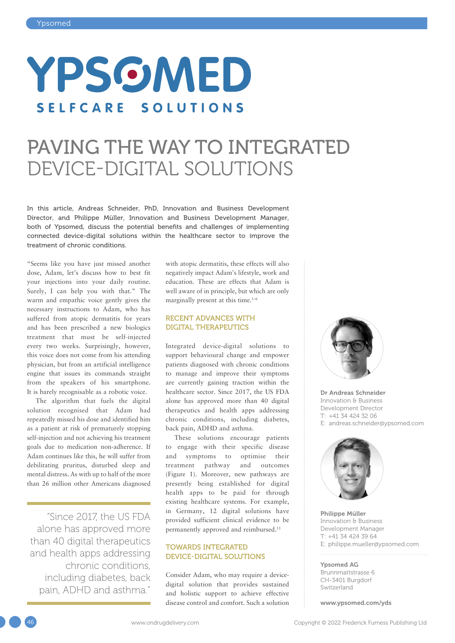## YPSOMED SELFCARE SOLUTIONS

## PAVING THE WAY TO INTEGRATED DEVICE-DIGITAL SOLUTIONS

In this article, Andreas Schneider, PhD, Innovation and Business Development Director, and Philippe Müller, Innovation and Business Development Manager, both of Ypsomed, discuss the potential benefits and challenges of implementing connected device-digital solutions within the healthcare sector to improve the treatment of chronic conditions.

"Seems like you have just missed another dose, Adam, let's discuss how to best fit your injections into your daily routine. Surely, I can help you with that." The warm and empathic voice gently gives the necessary instructions to Adam, who has suffered from atopic dermatitis for years and has been prescribed a new biologics treatment that must be self-injected every two weeks. Surprisingly, however, this voice does not come from his attending physician, but from an artificial intelligence engine that issues its commands straight from the speakers of his smartphone. It is barely recognisable as a robotic voice.

The algorithm that fuels the digital solution recognised that Adam had repeatedly missed his dose and identified him as a patient at risk of prematurely stopping self-injection and not achieving his treatment goals due to medication non-adherence. If Adam continues like this, he will suffer from debilitating pruritus, disturbed sleep and mental distress. As with up to half of the more than 26 million other Americans diagnosed

"Since 2017, the US FDA alone has approved more than 40 digital therapeutics and health apps addressing chronic conditions, including diabetes, back pain, ADHD and asthma."

with atopic dermatitis, these effects will also negatively impact Adam's lifestyle, work and education. These are effects that Adam is well aware of in principle, but which are only marginally present at this time.<sup>1-6</sup>

#### RECENT ADVANCES WITH DIGITAL THERAPEUTICS

Integrated device-digital solutions to support behavioural change and empower patients diagnosed with chronic conditions to manage and improve their symptoms are currently gaining traction within the healthcare sector. Since 2017, the US FDA alone has approved more than 40 digital therapeutics and health apps addressing chronic conditions, including diabetes, back pain, ADHD and asthma.

These solutions encourage patients to engage with their specific disease and symptoms to optimise their treatment pathway and outcomes (Figure 1). Moreover, new pathways are presently being established for digital health apps to be paid for through existing healthcare systems. For example, in Germany, 12 digital solutions have provided sufficient clinical evidence to be permanently approved and reimbursed.<sup>11</sup>

#### TOWARDS INTEGRATED DEVICE-DIGITAL SOLUTIONS

Consider Adam, who may require a devicedigital solution that provides sustained and holistic support to achieve effective disease control and comfort. Such a solution



Dr Andreas Schneider Innovation & Business Development Director T: +41 34 424 32 06 E: [andreas.schneider@ypsomed.com](mailto:andreas.schneider@ypsomed.com)



Philippe Müller Innovation & Business Development Manager T: +41 34 424 39 64 E: [philippe.mueller@ypsomed.com](mailto:philippe.mueller@ypsomed.com)

Ypsomed AG Brunnmattstrasse 6 CH-3401 Burgdorf Switzerland

[www.ypsomed.com/yds](https://www.ypsomed.com/yds)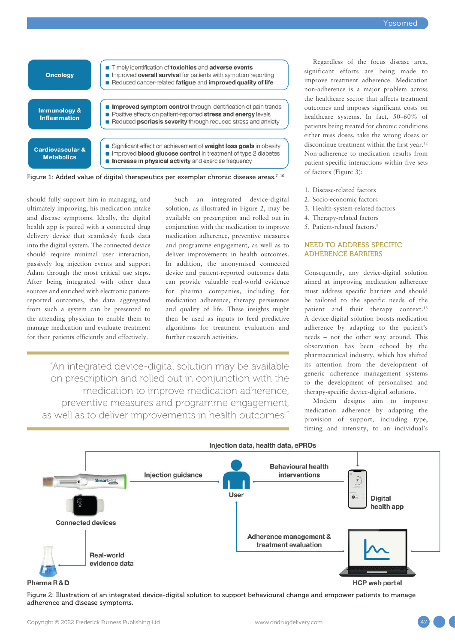

Figure 1: Added value of digital therapeutics per exemplar chronic disease areas.<sup>7-10</sup>

should fully support him in managing, and ultimately improving, his medication intake and disease symptoms. Ideally, the digital health app is paired with a connected drug delivery device that seamlessly feeds data into the digital system. The connected device should require minimal user interaction, passively log injection events and support Adam through the most critical use steps. After being integrated with other data sources and enriched with electronic patientreported outcomes, the data aggregated from such a system can be presented to the attending physician to enable them to manage medication and evaluate treatment for their patients efficiently and effectively.

Such an integrated device-digital solution, as illustrated in Figure 2, may be available on prescription and rolled out in conjunction with the medication to improve medication adherence, preventive measures and programme engagement, as well as to deliver improvements in health outcomes. In addition, the anonymised connected device and patient-reported outcomes data can provide valuable real-world evidence for pharma companies, including for medication adherence, therapy persistence and quality of life. These insights might then be used as inputs to feed predictive algorithms for treatment evaluation and further research activities.

"An integrated device-digital solution may be available on prescription and rolled out in conjunction with the medication to improve medication adherence, preventive measures and programme engagement, as well as to deliver improvements in health outcomes.

Regardless of the focus disease area, significant efforts are being made to improve treatment adherence. Medication non-adherence is a major problem across the healthcare sector that affects treatment outcomes and imposes significant costs on healthcare systems. In fact, 50–60% of patients being treated for chronic conditions either miss doses, take the wrong doses or discontinue treatment within the first year.<sup>12</sup> Non-adherence to medication results from patient-specific interactions within five sets of factors (Figure 3):

- 1. Disease-related factors
- 2. Socio-economic factors
- 3. Health-system-related factors
- 4. Therapy-related factors
- 5. Patient-related factors.<sup>9</sup>

#### NEED TO ADDRESS SPECIFIC ADHERENCE BARRIERS

Consequently, any device-digital solution aimed at improving medication adherence must address specific barriers and should be tailored to the specific needs of the patient and their therapy context.<sup>13</sup> A device-digital solution boosts medication adherence by adapting to the patient's needs – not the other way around. This observation has been echoed by the pharmaceutical industry, which has shifted its attention from the development of generic adherence management systems to the development of personalised and therapy-specific device-digital solutions.

Modern designs aim to improve medication adherence by adapting the provision of support, including type, timing and intensity, to an individual's



**HCP** web portal

#### Figure 2: Illustration of an integrated device-digital solution to support behavioural change and empower patients to manage adherence and disease symptoms.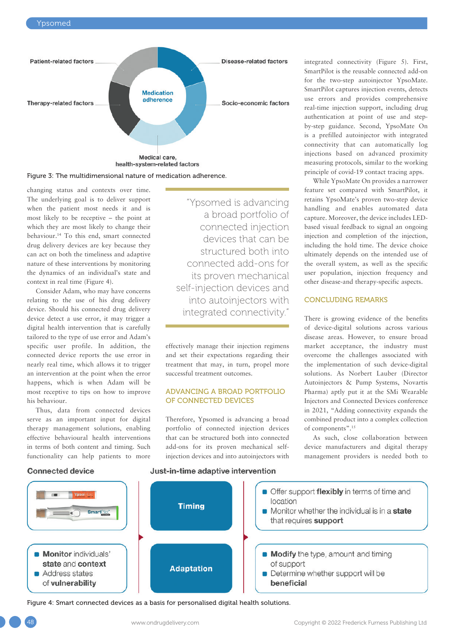

changing status and contexts over time. The underlying goal is to deliver support when the patient most needs it and is most likely to be receptive – the point at which they are most likely to change their behaviour.14 To this end, smart connected drug delivery devices are key because they can act on both the timeliness and adaptive nature of these interventions by monitoring the dynamics of an individual's state and context in real time (Figure 4).

Consider Adam, who may have concerns relating to the use of his drug delivery device. Should his connected drug delivery device detect a use error, it may trigger a digital health intervention that is carefully tailored to the type of use error and Adam's specific user profile. In addition, the connected device reports the use error in nearly real time, which allows it to trigger an intervention at the point when the error happens, which is when Adam will be most receptive to tips on how to improve his behaviour.

Thus, data from connected devices serve as an important input for digital therapy management solutions, enabling effective behavioural health interventions in terms of both content and timing. Such functionality can help patients to more

"Ypsomed is advancing a broad portfolio of connected injection devices that can be structured both into connected add-ons for its proven mechanical self-injection devices and into autoinjectors with integrated connectivity."

effectively manage their injection regimens and set their expectations regarding their treatment that may, in turn, propel more successful treatment outcomes.

#### ADVANCING A BROAD PORTFOLIO OF CONNECTED DEVICES

Therefore, Ypsomed is advancing a broad portfolio of connected injection devices that can be structured both into connected add-ons for its proven mechanical selfinjection devices and into autoinjectors with integrated connectivity (Figure 5). First, SmartPilot is the reusable connected add-on for the two-step autoinjector YpsoMate. SmartPilot captures injection events, detects use errors and provides comprehensive real-time injection support, including drug authentication at point of use and stepby-step guidance. Second, YpsoMate On is a prefilled autoinjector with integrated connectivity that can automatically log injections based on advanced proximity measuring protocols, similar to the working principle of covid-19 contact tracing apps.

While YpsoMate On provides a narrower feature set compared with SmartPilot, it retains YpsoMate's proven two-step device handling and enables automated data capture. Moreover, the device includes LEDbased visual feedback to signal an ongoing injection and completion of the injection, including the hold time. The device choice ultimately depends on the intended use of the overall system, as well as the specific user population, injection frequency and other disease-and therapy-specific aspects.

#### CONCLUDING REMARKS

There is growing evidence of the benefits of device-digital solutions across various disease areas. However, to ensure broad market acceptance, the industry must overcome the challenges associated with the implementation of such device-digital solutions. As Norbert Lauber (Director Autoinjectors & Pump Systems, Novartis Pharma) aptly put it at the SMi Wearable Injectors and Connected Devices conference in 2021, "Adding connectivity expands the combined product into a complex collection of components".15

As such, close collaboration between device manufacturers and digital therapy management providers is needed both to



Figure 4: Smart connected devices as a basis for personalised digital health solutions.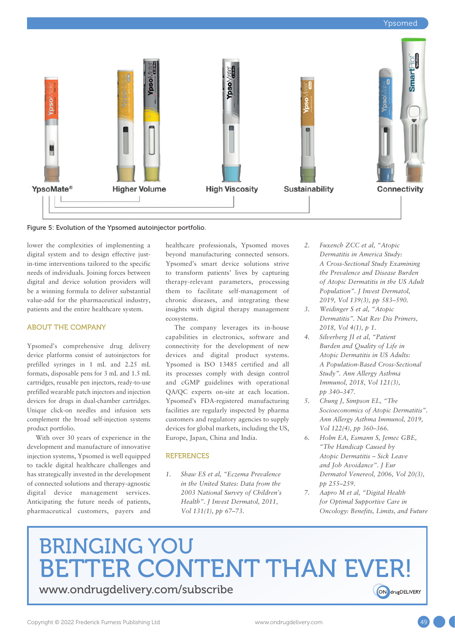

Figure 5: Evolution of the Ypsomed autoinjector portfolio.

lower the complexities of implementing a digital system and to design effective justin-time interventions tailored to the specific needs of individuals. Joining forces between digital and device solution providers will be a winning formula to deliver substantial value-add for the pharmaceutical industry, patients and the entire healthcare system.

#### ABOUT THE COMPANY

Ypsomed's comprehensive drug delivery device platforms consist of autoinjectors for prefilled syringes in 1 mL and 2.25 mL formats, disposable pens for 3 mL and 1.5 mL cartridges, reusable pen injectors, ready-to-use prefilled wearable patch injectors and injection devices for drugs in dual-chamber cartridges. Unique click-on needles and infusion sets complement the broad self-injection systems product portfolio.

With over 30 years of experience in the development and manufacture of innovative injection systems, Ypsomed is well equipped to tackle digital healthcare challenges and has strategically invested in the development of connected solutions and therapy-agnostic digital device management services. Anticipating the future needs of patients, pharmaceutical customers, payers and healthcare professionals, Ypsomed moves beyond manufacturing connected sensors. Ypsomed's smart device solutions strive to transform patients' lives by capturing therapy-relevant parameters, processing them to facilitate self-management of chronic diseases, and integrating these insights with digital therapy management ecosystems.

The company leverages its in-house capabilities in electronics, software and connectivity for the development of new devices and digital product systems. Ypsomed is ISO 13485 certified and all its processes comply with design control and cGMP guidelines with operational QA/QC experts on-site at each location. Ypsomed's FDA-registered manufacturing facilities are regularly inspected by pharma customers and regulatory agencies to supply devices for global markets, including the US, Europe, Japan, China and India.

#### **REFERENCES**

*1. Shaw ES et al, "Eczema Prevalence in the United States: Data from the 2003 National Survey of Children's Health". J Invest Dermatol, 2011, Vol 131(1), pp 67–73.*

- *2. Fuxench ZCC et al, "Atopic Dermatitis in America Study: A Cross-Sectional Study Examining the Prevalence and Disease Burden of Atopic Dermatitis in the US Adult Population". J Invest Dermatol, 2019, Vol 139(3), pp 583–590.*
- *3. Weidinger S et al, "Atopic Dermatitis". Nat Rev Dis Primers, 2018, Vol 4(1), p 1.*
- *4. Silverberg JI et al, "Patient Burden and Quality of Life in Atopic Dermatitis in US Adults: A Population-Based Cross-Sectional Study". Ann Allergy Asthma Immunol, 2018, Vol 121(3), pp 340–347.*
- *5. Chung J, Simpson EL, "The Socioeconomics of Atopic Dermatitis". Ann Allergy Asthma Immunol, 2019, Vol 122(4), pp 360–366.*
- *6. Holm EA, Esmann S, Jemec GBE, "The Handicap Caused by Atopic Dermatitis – Sick Leave and Job Avoidance". J Eur Dermatol Venereol, 2006, Vol 20(3), pp 255–259.*
- *7. Aapro M et al, "Digital Health for Optimal Supportive Care in Oncology: Benefits, Limits, and Future*

## BRINGING YOU BETTER CONTENT THAN EVER! ON drugDELIVERY

[www.ondrugdelivery.com](https://www.ondrugdelivery.com/participate)/subscribe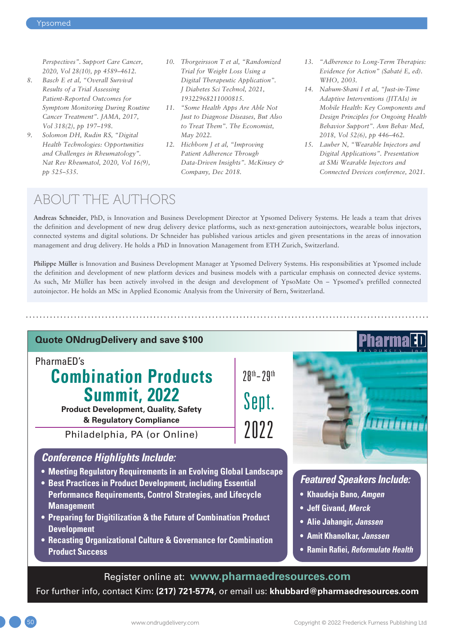*Perspectives". Support Care Cancer, 2020, Vol 28(10), pp 4589–4612.*

- *8. Basch E et al, "Overall Survival Results of a Trial Assessing Patient-Reported Outcomes for Symptom Monitoring During Routine Cancer Treatment". JAMA, 2017, Vol 318(2), pp 197–198.*
- *9. Solomon DH, Rudin RS, "Digital Health Technologies: Opportunities and Challenges in Rheumatology". Nat Rev Rheumatol, 2020, Vol 16(9), pp 525–535.*
- *10. Thorgeirsson T et al, "Randomized Trial for Weight Loss Using a Digital Therapeutic Application". J Diabetes Sci Technol, 2021, 19322968211000815.*
- *11. "Some Health Apps Are Able Not Just to Diagnose Diseases, But Also to Treat Them". The Economist, May 2022.*
- *12. Hichborn J et al, "Improving Patient Adherence Through Data-Driven Insights". McKinsey & Company, Dec 2018.*
- *13. "Adherence to Long-Term Therapies: Evidence for Action" (Sabaté E, ed). WHO, 2003.*
- *14. Nahum-Shani I et al, "Just-in-Time Adaptive Interventions (JITAIs) in Mobile Health: Key Components and Design Principles for Ongoing Health Behavior Support". Ann Behav Med, 2018, Vol 52(6), pp 446–462.*
- *15. Lauber N, "Wearable Injectors and Digital Applications". Presentation at SMi Wearable Injectors and Connected Devices conference, 2021.*

### ABOUT THE AUTHORS

**Andreas Schneider**, PhD, is Innovation and Business Development Director at Ypsomed Delivery Systems. He leads a team that drives the definition and development of new drug delivery device platforms, such as next-generation autoinjectors, wearable bolus injectors, connected systems and digital solutions. Dr Schneider has published various articles and given presentations in the areas of innovation management and drug delivery. He holds a PhD in Innovation Management from ETH Zurich, Switzerland.

**Philippe Müller** is Innovation and Business Development Manager at Ypsomed Delivery Systems. His responsibilities at Ypsomed include the definition and development of new platform devices and business models with a particular emphasis on connected device systems. As such, Mr Müller has been actively involved in the design and development of YpsoMate On – Ypsomed's prefilled connected autoinjector. He holds an MSc in Applied Economic Analysis from the University of Bern, Switzerland.



#### Register online at: **[www.pharmaedresources.com](https://www.pharmaedresources.com)**

For further info, contact Kim: **(217) 721-5774**, or email us: **[khubbard@pharmaedresources.com](mailto:khubbard%40pharmaedresources.com?subject=)**